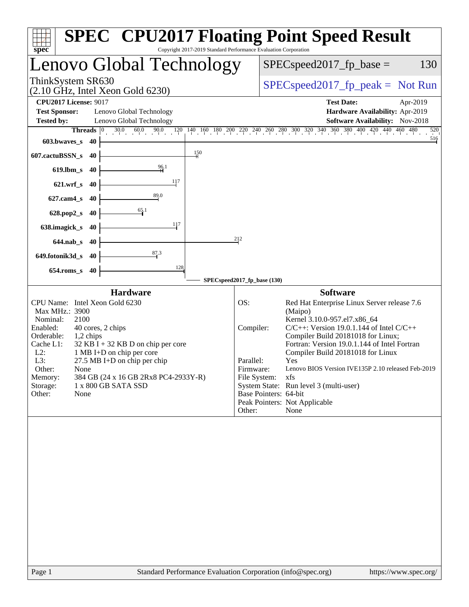| Copyright 2017-2019 Standard Performance Evaluation Corporation<br>spec <sup>®</sup>                                                                                                                                                                                                                                                                                                                               | <b>SPEC<sup>®</sup> CPU2017 Floating Point Speed Result</b>                                                                                                                                                                                                                                                                                                                                                                                                                                                                                                                                        |
|--------------------------------------------------------------------------------------------------------------------------------------------------------------------------------------------------------------------------------------------------------------------------------------------------------------------------------------------------------------------------------------------------------------------|----------------------------------------------------------------------------------------------------------------------------------------------------------------------------------------------------------------------------------------------------------------------------------------------------------------------------------------------------------------------------------------------------------------------------------------------------------------------------------------------------------------------------------------------------------------------------------------------------|
| Lenovo Global Technology                                                                                                                                                                                                                                                                                                                                                                                           | $SPEC speed2017_fp\_base =$<br>130                                                                                                                                                                                                                                                                                                                                                                                                                                                                                                                                                                 |
| ThinkSystem SR630<br>$(2.10 \text{ GHz}, \text{Intel Xeon Gold } 6230)$                                                                                                                                                                                                                                                                                                                                            | $SPEC speed2017fr peak = Not Run$                                                                                                                                                                                                                                                                                                                                                                                                                                                                                                                                                                  |
| <b>CPU2017 License: 9017</b><br><b>Test Sponsor:</b><br>Lenovo Global Technology<br>Lenovo Global Technology<br><b>Tested by:</b><br>$30.0$ 60.0 90.0<br>Threads $\boxed{0}$<br>603.bwaves_s<br>-40                                                                                                                                                                                                                | <b>Test Date:</b><br>Apr-2019<br>Hardware Availability: Apr-2019<br>Software Availability: Nov-2018<br>$\underbrace{120}_{1-1} \underbrace{140}_{1-1} \underbrace{160}_{1} \underbrace{180}_{2} \underbrace{200}_{2} \underbrace{220}_{2} \underbrace{240}_{2} \underbrace{260}_{2} \underbrace{280}_{2} \underbrace{300}_{3} \underbrace{320}_{3} \underbrace{340}_{3} \underbrace{360}_{3} \underbrace{380}_{4} \underbrace{400}_{4} \underbrace{420}_{4} \underbrace{440}_{4} \underbrace{460}_{4} \underbrace{480}_{4} \underbrace{480}_{4} \underbrace{480}_{4} \underbrace{48$<br>520<br>516 |
| 150<br>607.cactuBSSN_s<br>40                                                                                                                                                                                                                                                                                                                                                                                       |                                                                                                                                                                                                                                                                                                                                                                                                                                                                                                                                                                                                    |
| $\frac{96.1}{5}$<br>$619$ .lbm_s<br>40                                                                                                                                                                                                                                                                                                                                                                             |                                                                                                                                                                                                                                                                                                                                                                                                                                                                                                                                                                                                    |
| 117<br>$621.wrf$ <sub>S</sub><br>-40                                                                                                                                                                                                                                                                                                                                                                               |                                                                                                                                                                                                                                                                                                                                                                                                                                                                                                                                                                                                    |
| 89.0<br>$627$ .cam $4$ <sub>S</sub><br>40                                                                                                                                                                                                                                                                                                                                                                          |                                                                                                                                                                                                                                                                                                                                                                                                                                                                                                                                                                                                    |
| $\frac{65.1}{4}$<br>628.pop2_s<br>40<br>117                                                                                                                                                                                                                                                                                                                                                                        |                                                                                                                                                                                                                                                                                                                                                                                                                                                                                                                                                                                                    |
| 638.imagick_s<br>40                                                                                                                                                                                                                                                                                                                                                                                                | 212                                                                                                                                                                                                                                                                                                                                                                                                                                                                                                                                                                                                |
| 644.nab_s 40<br>87.3<br>649.fotonik3d_s<br>-40                                                                                                                                                                                                                                                                                                                                                                     |                                                                                                                                                                                                                                                                                                                                                                                                                                                                                                                                                                                                    |
| 128<br>654.roms_s 40                                                                                                                                                                                                                                                                                                                                                                                               |                                                                                                                                                                                                                                                                                                                                                                                                                                                                                                                                                                                                    |
|                                                                                                                                                                                                                                                                                                                                                                                                                    | SPECspeed2017_fp_base (130)                                                                                                                                                                                                                                                                                                                                                                                                                                                                                                                                                                        |
| <b>Hardware</b><br>CPU Name: Intel Xeon Gold 6230<br>Max MHz.: 3900<br>2100<br>Nominal:<br>Enabled:<br>40 cores, 2 chips<br>Orderable:<br>1,2 chips<br>Cache L1:<br>$32$ KB I + 32 KB D on chip per core<br>1 MB I+D on chip per core<br>$L2$ :<br>L3:<br>$27.5$ MB I+D on chip per chip<br>Other:<br>None<br>384 GB (24 x 16 GB 2Rx8 PC4-2933Y-R)<br>Memory:<br>Storage:<br>1 x 800 GB SATA SSD<br>Other:<br>None | <b>Software</b><br>Red Hat Enterprise Linux Server release 7.6<br>OS:<br>(Maipo)<br>Kernel 3.10.0-957.el7.x86_64<br>$C/C++$ : Version 19.0.1.144 of Intel $C/C++$<br>Compiler:<br>Compiler Build 20181018 for Linux;<br>Fortran: Version 19.0.1.144 of Intel Fortran<br>Compiler Build 20181018 for Linux<br>Parallel:<br>Yes<br>Lenovo BIOS Version IVE135P 2.10 released Feb-2019<br>Firmware:<br>File System:<br>xfs<br>System State: Run level 3 (multi-user)<br>Base Pointers: 64-bit<br>Peak Pointers: Not Applicable<br>Other:<br>None                                                      |
|                                                                                                                                                                                                                                                                                                                                                                                                                    |                                                                                                                                                                                                                                                                                                                                                                                                                                                                                                                                                                                                    |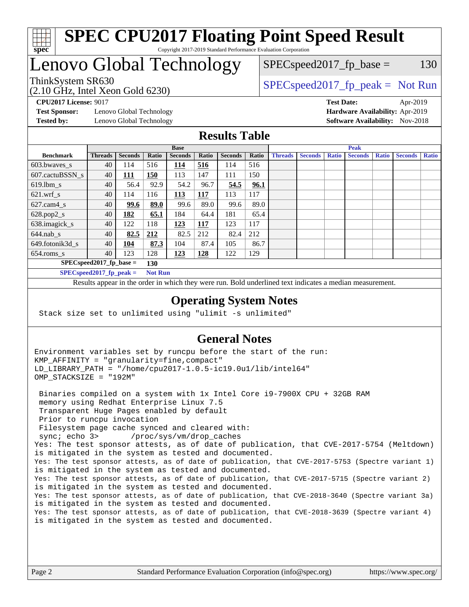

#### **[SPEC CPU2017 Floating Point Speed Result](http://www.spec.org/auto/cpu2017/Docs/result-fields.html#SPECCPU2017FloatingPointSpeedResult)** Copyright 2017-2019 Standard Performance Evaluation Corporation

## Lenovo Global Technology

(2.10 GHz, Intel Xeon Gold 6230)

ThinkSystem SR630<br>  $SPEC speed2017<sub>fp</sub> peak = Not Run$ 

 $SPEC speed2017_fp\_base = 130$ 

**[Test Sponsor:](http://www.spec.org/auto/cpu2017/Docs/result-fields.html#TestSponsor)** Lenovo Global Technology **[Hardware Availability:](http://www.spec.org/auto/cpu2017/Docs/result-fields.html#HardwareAvailability)** Apr-2019 **[Tested by:](http://www.spec.org/auto/cpu2017/Docs/result-fields.html#Testedby)** Lenovo Global Technology **[Software Availability:](http://www.spec.org/auto/cpu2017/Docs/result-fields.html#SoftwareAvailability)** Nov-2018

**[CPU2017 License:](http://www.spec.org/auto/cpu2017/Docs/result-fields.html#CPU2017License)** 9017 **[Test Date:](http://www.spec.org/auto/cpu2017/Docs/result-fields.html#TestDate)** Apr-2019

#### **[Results Table](http://www.spec.org/auto/cpu2017/Docs/result-fields.html#ResultsTable)**

|                            | <b>Base</b>                |                |                |                |            | <b>Peak</b>    |       |                |                |              |                |              |                |              |
|----------------------------|----------------------------|----------------|----------------|----------------|------------|----------------|-------|----------------|----------------|--------------|----------------|--------------|----------------|--------------|
| <b>Benchmark</b>           | <b>Threads</b>             | <b>Seconds</b> | Ratio          | <b>Seconds</b> | Ratio      | <b>Seconds</b> | Ratio | <b>Threads</b> | <b>Seconds</b> | <b>Ratio</b> | <b>Seconds</b> | <b>Ratio</b> | <b>Seconds</b> | <b>Ratio</b> |
| 603.bwayes s               | 40                         | 114            | 516            | 114            | 516        | 114            | 516   |                |                |              |                |              |                |              |
| 607.cactuBSSN s            | 40                         | 111            | 150            | 113            | 147        | 111            | 150   |                |                |              |                |              |                |              |
| $619.$ lbm_s               | 40                         | 56.4           | 92.9           | 54.2           | 96.7       | 54.5           | 96.1  |                |                |              |                |              |                |              |
| $621.wrf$ s                | 40                         | 114            | 116            | 113            | 117        | 113            | 117   |                |                |              |                |              |                |              |
| $627$ .cam4 s              | 40                         | 99.6           | 89.0           | 99.6           | 89.0       | 99.6           | 89.0  |                |                |              |                |              |                |              |
| $628.pop2_s$               | 40                         | 182            | 65.1           | 184            | 64.4       | 181            | 65.4  |                |                |              |                |              |                |              |
| 638.imagick_s              | 40                         | 122            | 118            | 123            | 117        | 123            | 117   |                |                |              |                |              |                |              |
| $644$ .nab s               | 40                         | 82.5           | 212            | 82.5           | 212        | 82.4           | 212   |                |                |              |                |              |                |              |
| 649.fotonik3d s            | 40                         | 104            | 87.3           | 104            | 87.4       | 105            | 86.7  |                |                |              |                |              |                |              |
| $654$ .roms s              | 40                         | 123            | 128            | 123            | <u>128</u> | 122            | 129   |                |                |              |                |              |                |              |
| $SPEC speed2017$ fp base = |                            |                | 130            |                |            |                |       |                |                |              |                |              |                |              |
|                            | SPECspeed 2017 fp peak $=$ |                | <b>Not Run</b> |                |            |                |       |                |                |              |                |              |                |              |

Results appear in the [order in which they were run.](http://www.spec.org/auto/cpu2017/Docs/result-fields.html#RunOrder) Bold underlined text [indicates a median measurement](http://www.spec.org/auto/cpu2017/Docs/result-fields.html#Median).

#### **[Operating System Notes](http://www.spec.org/auto/cpu2017/Docs/result-fields.html#OperatingSystemNotes)**

Stack size set to unlimited using "ulimit -s unlimited"

#### **[General Notes](http://www.spec.org/auto/cpu2017/Docs/result-fields.html#GeneralNotes)**

Environment variables set by runcpu before the start of the run: KMP\_AFFINITY = "granularity=fine,compact" LD\_LIBRARY\_PATH = "/home/cpu2017-1.0.5-ic19.0u1/lib/intel64" OMP\_STACKSIZE = "192M"

 Binaries compiled on a system with 1x Intel Core i9-7900X CPU + 32GB RAM memory using Redhat Enterprise Linux 7.5 Transparent Huge Pages enabled by default Prior to runcpu invocation Filesystem page cache synced and cleared with: sync; echo 3> /proc/sys/vm/drop\_caches Yes: The test sponsor attests, as of date of publication, that CVE-2017-5754 (Meltdown) is mitigated in the system as tested and documented. Yes: The test sponsor attests, as of date of publication, that CVE-2017-5753 (Spectre variant 1) is mitigated in the system as tested and documented. Yes: The test sponsor attests, as of date of publication, that CVE-2017-5715 (Spectre variant 2) is mitigated in the system as tested and documented. Yes: The test sponsor attests, as of date of publication, that CVE-2018-3640 (Spectre variant 3a) is mitigated in the system as tested and documented. Yes: The test sponsor attests, as of date of publication, that CVE-2018-3639 (Spectre variant 4) is mitigated in the system as tested and documented.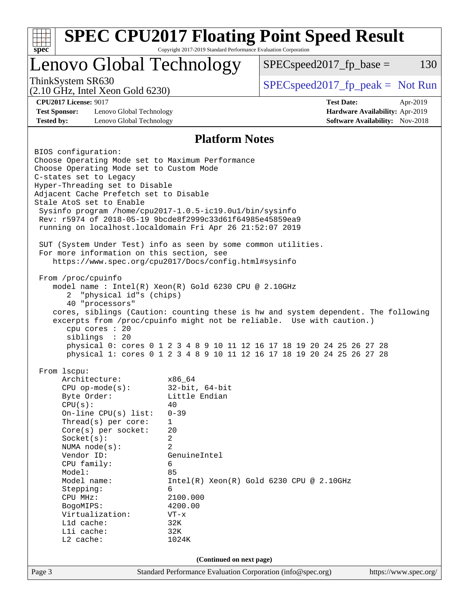| <b>SPEC CPU2017 Floating Point Speed Result</b><br>$spec^*$                                                                                                                                                                                                                                                                                                                                                                                                                                                                                                                                                                                                                                                                                                                                                                                                                                                                                                                                                                                                                                                                                                                                                                                                                                                                                                                                                                                                     | Copyright 2017-2019 Standard Performance Evaluation Corporation                                                                                                                                                                    |                                     |                                                                                                |                       |  |
|-----------------------------------------------------------------------------------------------------------------------------------------------------------------------------------------------------------------------------------------------------------------------------------------------------------------------------------------------------------------------------------------------------------------------------------------------------------------------------------------------------------------------------------------------------------------------------------------------------------------------------------------------------------------------------------------------------------------------------------------------------------------------------------------------------------------------------------------------------------------------------------------------------------------------------------------------------------------------------------------------------------------------------------------------------------------------------------------------------------------------------------------------------------------------------------------------------------------------------------------------------------------------------------------------------------------------------------------------------------------------------------------------------------------------------------------------------------------|------------------------------------------------------------------------------------------------------------------------------------------------------------------------------------------------------------------------------------|-------------------------------------|------------------------------------------------------------------------------------------------|-----------------------|--|
| Lenovo Global Technology                                                                                                                                                                                                                                                                                                                                                                                                                                                                                                                                                                                                                                                                                                                                                                                                                                                                                                                                                                                                                                                                                                                                                                                                                                                                                                                                                                                                                                        | $SPEC speed2017fp base =$                                                                                                                                                                                                          | 130                                 |                                                                                                |                       |  |
| ThinkSystem SR630<br>$(2.10 \text{ GHz}, \text{Intel Xeon Gold } 6230)$                                                                                                                                                                                                                                                                                                                                                                                                                                                                                                                                                                                                                                                                                                                                                                                                                                                                                                                                                                                                                                                                                                                                                                                                                                                                                                                                                                                         |                                                                                                                                                                                                                                    | $SPEC speed2017_fp\_peak = Not Run$ |                                                                                                |                       |  |
| <b>CPU2017 License: 9017</b><br><b>Test Sponsor:</b><br>Lenovo Global Technology<br><b>Tested by:</b><br>Lenovo Global Technology                                                                                                                                                                                                                                                                                                                                                                                                                                                                                                                                                                                                                                                                                                                                                                                                                                                                                                                                                                                                                                                                                                                                                                                                                                                                                                                               |                                                                                                                                                                                                                                    |                                     | <b>Test Date:</b><br>Hardware Availability: Apr-2019<br><b>Software Availability:</b> Nov-2018 | Apr-2019              |  |
|                                                                                                                                                                                                                                                                                                                                                                                                                                                                                                                                                                                                                                                                                                                                                                                                                                                                                                                                                                                                                                                                                                                                                                                                                                                                                                                                                                                                                                                                 | <b>Platform Notes</b>                                                                                                                                                                                                              |                                     |                                                                                                |                       |  |
| BIOS configuration:<br>Choose Operating Mode set to Maximum Performance<br>Choose Operating Mode set to Custom Mode<br>C-states set to Legacy<br>Hyper-Threading set to Disable<br>Adjacent Cache Prefetch set to Disable<br>Stale AtoS set to Enable<br>Sysinfo program /home/cpu2017-1.0.5-ic19.0ul/bin/sysinfo<br>Rev: r5974 of 2018-05-19 9bcde8f2999c33d61f64985e45859ea9<br>running on localhost.localdomain Fri Apr 26 21:52:07 2019<br>SUT (System Under Test) info as seen by some common utilities.<br>For more information on this section, see<br>https://www.spec.org/cpu2017/Docs/config.html#sysinfo<br>From /proc/cpuinfo<br>model name: Intel(R) Xeon(R) Gold 6230 CPU @ 2.10GHz<br>"physical id"s (chips)<br>$\overline{2}$<br>40 "processors"<br>cores, siblings (Caution: counting these is hw and system dependent. The following<br>excerpts from /proc/cpuinfo might not be reliable. Use with caution.)<br>cpu cores : 20<br>siblings : 20<br>physical 0: cores 0 1 2 3 4 8 9 10 11 12 16 17 18 19 20 24 25 26 27 28<br>physical 1: cores 0 1 2 3 4 8 9 10 11 12 16 17 18 19 20 24 25 26 27 28<br>From 1scpu:<br>Architecture:<br>$CPU$ op-mode( $s$ ):<br>Byte Order:<br>CPU(s):<br>On-line CPU(s) list:<br>Thread( $s$ ) per core:<br>Core(s) per socket:<br>Socket(s):<br>NUMA $node(s):$<br>Vendor ID:<br>CPU family:<br>Model:<br>Model name:<br>Stepping:<br>CPU MHz:<br>BogoMIPS:<br>Virtualization:<br>Lld cache:<br>Lli cache: | x86_64<br>$32$ -bit, $64$ -bit<br>Little Endian<br>40<br>$0 - 39$<br>1<br>20<br>2<br>$\overline{a}$<br>GenuineIntel<br>6<br>85<br>$Intel(R) Xeon(R) Gold 6230 CPU @ 2.10GHz$<br>6<br>2100.000<br>4200.00<br>$VT - x$<br>32K<br>32K |                                     |                                                                                                |                       |  |
| L2 cache:<br>1024K                                                                                                                                                                                                                                                                                                                                                                                                                                                                                                                                                                                                                                                                                                                                                                                                                                                                                                                                                                                                                                                                                                                                                                                                                                                                                                                                                                                                                                              |                                                                                                                                                                                                                                    |                                     |                                                                                                |                       |  |
|                                                                                                                                                                                                                                                                                                                                                                                                                                                                                                                                                                                                                                                                                                                                                                                                                                                                                                                                                                                                                                                                                                                                                                                                                                                                                                                                                                                                                                                                 | (Continued on next page)                                                                                                                                                                                                           |                                     |                                                                                                |                       |  |
| Page 3                                                                                                                                                                                                                                                                                                                                                                                                                                                                                                                                                                                                                                                                                                                                                                                                                                                                                                                                                                                                                                                                                                                                                                                                                                                                                                                                                                                                                                                          | Standard Performance Evaluation Corporation (info@spec.org)                                                                                                                                                                        |                                     |                                                                                                | https://www.spec.org/ |  |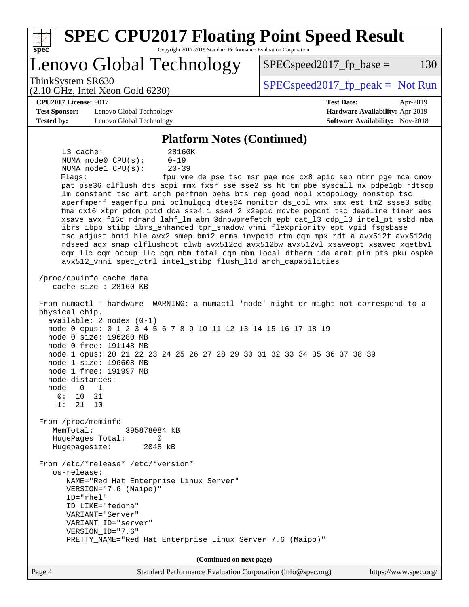| <b>SPEC CPU2017 Floating Point Speed Result</b><br>spec<br>Copyright 2017-2019 Standard Performance Evaluation Corporation                                                                                                                                                                                                                                                                                                                                                                                                                                                                                                                                                                                                                                                                                                                                                                                                                                                                                                                                                                                                                                                                                                                                                                                                                                                                                                                                                                                                                                                                                                                                                                                                                |                                                               |
|-------------------------------------------------------------------------------------------------------------------------------------------------------------------------------------------------------------------------------------------------------------------------------------------------------------------------------------------------------------------------------------------------------------------------------------------------------------------------------------------------------------------------------------------------------------------------------------------------------------------------------------------------------------------------------------------------------------------------------------------------------------------------------------------------------------------------------------------------------------------------------------------------------------------------------------------------------------------------------------------------------------------------------------------------------------------------------------------------------------------------------------------------------------------------------------------------------------------------------------------------------------------------------------------------------------------------------------------------------------------------------------------------------------------------------------------------------------------------------------------------------------------------------------------------------------------------------------------------------------------------------------------------------------------------------------------------------------------------------------------|---------------------------------------------------------------|
| Lenovo Global Technology                                                                                                                                                                                                                                                                                                                                                                                                                                                                                                                                                                                                                                                                                                                                                                                                                                                                                                                                                                                                                                                                                                                                                                                                                                                                                                                                                                                                                                                                                                                                                                                                                                                                                                                  | $SPEC speed2017fr base =$<br>130                              |
| ThinkSystem SR630<br>$(2.10 \text{ GHz}, \text{Intel Xeon Gold } 6230)$                                                                                                                                                                                                                                                                                                                                                                                                                                                                                                                                                                                                                                                                                                                                                                                                                                                                                                                                                                                                                                                                                                                                                                                                                                                                                                                                                                                                                                                                                                                                                                                                                                                                   | $SPEC speed2017fr peak = Not Run$                             |
| <b>CPU2017 License: 9017</b>                                                                                                                                                                                                                                                                                                                                                                                                                                                                                                                                                                                                                                                                                                                                                                                                                                                                                                                                                                                                                                                                                                                                                                                                                                                                                                                                                                                                                                                                                                                                                                                                                                                                                                              | <b>Test Date:</b><br>Apr-2019                                 |
| <b>Test Sponsor:</b><br>Lenovo Global Technology                                                                                                                                                                                                                                                                                                                                                                                                                                                                                                                                                                                                                                                                                                                                                                                                                                                                                                                                                                                                                                                                                                                                                                                                                                                                                                                                                                                                                                                                                                                                                                                                                                                                                          | Hardware Availability: Apr-2019                               |
| <b>Tested by:</b><br>Lenovo Global Technology                                                                                                                                                                                                                                                                                                                                                                                                                                                                                                                                                                                                                                                                                                                                                                                                                                                                                                                                                                                                                                                                                                                                                                                                                                                                                                                                                                                                                                                                                                                                                                                                                                                                                             | <b>Software Availability:</b> Nov-2018                        |
| <b>Platform Notes (Continued)</b>                                                                                                                                                                                                                                                                                                                                                                                                                                                                                                                                                                                                                                                                                                                                                                                                                                                                                                                                                                                                                                                                                                                                                                                                                                                                                                                                                                                                                                                                                                                                                                                                                                                                                                         |                                                               |
| L3 cache:<br>28160K<br>$0 - 19$<br>NUMA node0 CPU(s):<br>NUMA nodel CPU(s):<br>$20 - 39$<br>Flaqs:<br>pat pse36 clflush dts acpi mmx fxsr sse sse2 ss ht tm pbe syscall nx pdpelgb rdtscp<br>lm constant_tsc art arch_perfmon pebs bts rep_good nopl xtopology nonstop_tsc<br>aperfmperf eagerfpu pni pclmulqdq dtes64 monitor ds_cpl vmx smx est tm2 ssse3 sdbg<br>fma cx16 xtpr pdcm pcid dca sse4_1 sse4_2 x2apic movbe popcnt tsc_deadline_timer aes<br>xsave avx f16c rdrand lahf_lm abm 3dnowprefetch epb cat_13 cdp_13 intel_pt ssbd mba<br>ibrs ibpb stibp ibrs_enhanced tpr_shadow vnmi flexpriority ept vpid fsgsbase<br>tsc_adjust bmil hle avx2 smep bmi2 erms invpcid rtm cqm mpx rdt_a avx512f avx512dq<br>rdseed adx smap clflushopt clwb avx512cd avx512bw avx512vl xsaveopt xsavec xgetbvl<br>cqm_llc cqm_occup_llc cqm_mbm_total cqm_mbm_local dtherm ida arat pln pts pku ospke<br>avx512_vnni spec_ctrl intel_stibp flush_lld arch_capabilities<br>/proc/cpuinfo cache data<br>cache size : 28160 KB<br>From numactl --hardware WARNING: a numactl 'node' might or might not correspond to a<br>physical chip.<br>$available: 2 nodes (0-1)$<br>node 0 cpus: 0 1 2 3 4 5 6 7 8 9 10 11 12 13 14 15 16 17 18 19<br>node 0 size: 196280 MB<br>node 0 free: 191148 MB<br>node 1 cpus: 20 21 22 23 24 25 26 27 28 29 30 31 32 33 34 35 36 37 38 39<br>node 1 size: 196608 MB<br>node 1 free: 191997 MB<br>node distances:<br>node<br>$\mathbf 0$<br>1<br>0:<br>10<br>21<br>1:<br>21<br>10<br>From /proc/meminfo<br>MemTotal:<br>395878084 kB<br>HugePages_Total:<br>0<br>Hugepagesize:<br>2048 kB<br>From /etc/*release* /etc/*version*<br>os-release:<br>NAME="Red Hat Enterprise Linux Server"<br>VERSION="7.6 (Maipo)" | fpu vme de pse tsc msr pae mce cx8 apic sep mtrr pge mca cmov |
| ID="rhel"<br>ID LIKE="fedora"<br>VARIANT="Server"                                                                                                                                                                                                                                                                                                                                                                                                                                                                                                                                                                                                                                                                                                                                                                                                                                                                                                                                                                                                                                                                                                                                                                                                                                                                                                                                                                                                                                                                                                                                                                                                                                                                                         |                                                               |
| VARIANT_ID="server"                                                                                                                                                                                                                                                                                                                                                                                                                                                                                                                                                                                                                                                                                                                                                                                                                                                                                                                                                                                                                                                                                                                                                                                                                                                                                                                                                                                                                                                                                                                                                                                                                                                                                                                       |                                                               |
| VERSION_ID="7.6"<br>PRETTY_NAME="Red Hat Enterprise Linux Server 7.6 (Maipo)"                                                                                                                                                                                                                                                                                                                                                                                                                                                                                                                                                                                                                                                                                                                                                                                                                                                                                                                                                                                                                                                                                                                                                                                                                                                                                                                                                                                                                                                                                                                                                                                                                                                             |                                                               |
| (Continued on next page)                                                                                                                                                                                                                                                                                                                                                                                                                                                                                                                                                                                                                                                                                                                                                                                                                                                                                                                                                                                                                                                                                                                                                                                                                                                                                                                                                                                                                                                                                                                                                                                                                                                                                                                  |                                                               |
| Standard Performance Evaluation Corporation (info@spec.org)<br>Page 4                                                                                                                                                                                                                                                                                                                                                                                                                                                                                                                                                                                                                                                                                                                                                                                                                                                                                                                                                                                                                                                                                                                                                                                                                                                                                                                                                                                                                                                                                                                                                                                                                                                                     | https://www.spec.org/                                         |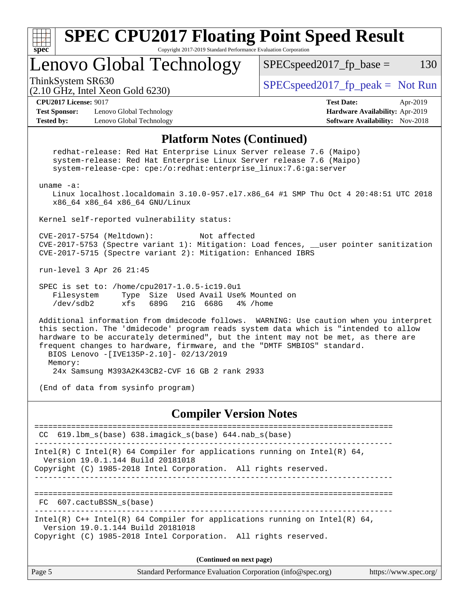

**(Continued on next page)**

| Page 5 | Standard Performance Evaluation Corporation (info@spec.org) | https://www.spec.org/ |
|--------|-------------------------------------------------------------|-----------------------|
|--------|-------------------------------------------------------------|-----------------------|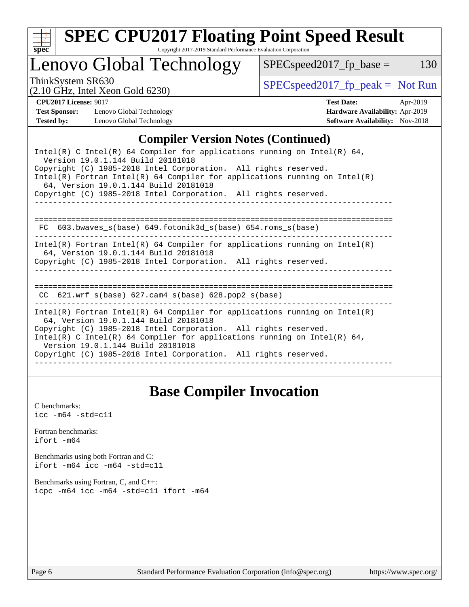

# **[SPEC CPU2017 Floating Point Speed Result](http://www.spec.org/auto/cpu2017/Docs/result-fields.html#SPECCPU2017FloatingPointSpeedResult)**

Copyright 2017-2019 Standard Performance Evaluation Corporation

## Lenovo Global Technology

ThinkSystem SR630<br>  $(2.10 \text{ GHz. Intel Yoon Gold } 6230)$  [SPECspeed2017\\_fp\\_peak =](http://www.spec.org/auto/cpu2017/Docs/result-fields.html#SPECspeed2017fppeak) Not Run

 $SPEC speed2017_fp\_base = 130$ 

(2.10 GHz, Intel Xeon Gold 6230)

**[CPU2017 License:](http://www.spec.org/auto/cpu2017/Docs/result-fields.html#CPU2017License)** 9017 **[Test Date:](http://www.spec.org/auto/cpu2017/Docs/result-fields.html#TestDate)** Apr-2019 **[Test Sponsor:](http://www.spec.org/auto/cpu2017/Docs/result-fields.html#TestSponsor)** Lenovo Global Technology **[Hardware Availability:](http://www.spec.org/auto/cpu2017/Docs/result-fields.html#HardwareAvailability)** Apr-2019

### **[Compiler Version Notes \(Continued\)](http://www.spec.org/auto/cpu2017/Docs/result-fields.html#CompilerVersionNotes)**

**[Tested by:](http://www.spec.org/auto/cpu2017/Docs/result-fields.html#Testedby)** Lenovo Global Technology **[Software Availability:](http://www.spec.org/auto/cpu2017/Docs/result-fields.html#SoftwareAvailability)** Nov-2018

| Intel(R) C Intel(R) 64 Compiler for applications running on Intel(R) 64,<br>Version 19.0.1.144 Build 20181018<br>Copyright (C) 1985-2018 Intel Corporation. All rights reserved.<br>Intel(R) Fortran Intel(R) 64 Compiler for applications running on Intel(R)<br>64, Version 19.0.1.144 Build 20181018<br>Copyright (C) 1985-2018 Intel Corporation. All rights reserved. |
|----------------------------------------------------------------------------------------------------------------------------------------------------------------------------------------------------------------------------------------------------------------------------------------------------------------------------------------------------------------------------|
| 603.bwaves s(base) 649.fotonik3d s(base) 654.roms s(base)<br>FC.                                                                                                                                                                                                                                                                                                           |
| Intel(R) Fortran Intel(R) 64 Compiler for applications running on Intel(R)<br>64, Version 19.0.1.144 Build 20181018<br>Copyright (C) 1985-2018 Intel Corporation. All rights reserved.                                                                                                                                                                                     |
| CC $621.wrf$ s(base) $627.cam4$ s(base) $628.pop2$ s(base)                                                                                                                                                                                                                                                                                                                 |
| Intel(R) Fortran Intel(R) 64 Compiler for applications running on Intel(R)<br>64, Version 19.0.1.144 Build 20181018<br>Copyright (C) 1985-2018 Intel Corporation. All rights reserved.<br>Intel(R) C Intel(R) 64 Compiler for applications running on Intel(R) 64,<br>Version 19.0.1.144 Build 20181018<br>Copyright (C) 1985-2018 Intel Corporation. All rights reserved. |

## **[Base Compiler Invocation](http://www.spec.org/auto/cpu2017/Docs/result-fields.html#BaseCompilerInvocation)**

[C benchmarks](http://www.spec.org/auto/cpu2017/Docs/result-fields.html#Cbenchmarks):  $\text{icc}$  -m64 -std=c11 [Fortran benchmarks](http://www.spec.org/auto/cpu2017/Docs/result-fields.html#Fortranbenchmarks): [ifort -m64](http://www.spec.org/cpu2017/results/res2019q2/cpu2017-20190429-12942.flags.html#user_FCbase_intel_ifort_64bit_24f2bb282fbaeffd6157abe4f878425411749daecae9a33200eee2bee2fe76f3b89351d69a8130dd5949958ce389cf37ff59a95e7a40d588e8d3a57e0c3fd751) [Benchmarks using both Fortran and C](http://www.spec.org/auto/cpu2017/Docs/result-fields.html#BenchmarksusingbothFortranandC): [ifort -m64](http://www.spec.org/cpu2017/results/res2019q2/cpu2017-20190429-12942.flags.html#user_CC_FCbase_intel_ifort_64bit_24f2bb282fbaeffd6157abe4f878425411749daecae9a33200eee2bee2fe76f3b89351d69a8130dd5949958ce389cf37ff59a95e7a40d588e8d3a57e0c3fd751) [icc -m64 -std=c11](http://www.spec.org/cpu2017/results/res2019q2/cpu2017-20190429-12942.flags.html#user_CC_FCbase_intel_icc_64bit_c11_33ee0cdaae7deeeab2a9725423ba97205ce30f63b9926c2519791662299b76a0318f32ddfffdc46587804de3178b4f9328c46fa7c2b0cd779d7a61945c91cd35) [Benchmarks using Fortran, C, and C++:](http://www.spec.org/auto/cpu2017/Docs/result-fields.html#BenchmarksusingFortranCandCXX) [icpc -m64](http://www.spec.org/cpu2017/results/res2019q2/cpu2017-20190429-12942.flags.html#user_CC_CXX_FCbase_intel_icpc_64bit_4ecb2543ae3f1412ef961e0650ca070fec7b7afdcd6ed48761b84423119d1bf6bdf5cad15b44d48e7256388bc77273b966e5eb805aefd121eb22e9299b2ec9d9) [icc -m64 -std=c11](http://www.spec.org/cpu2017/results/res2019q2/cpu2017-20190429-12942.flags.html#user_CC_CXX_FCbase_intel_icc_64bit_c11_33ee0cdaae7deeeab2a9725423ba97205ce30f63b9926c2519791662299b76a0318f32ddfffdc46587804de3178b4f9328c46fa7c2b0cd779d7a61945c91cd35) [ifort -m64](http://www.spec.org/cpu2017/results/res2019q2/cpu2017-20190429-12942.flags.html#user_CC_CXX_FCbase_intel_ifort_64bit_24f2bb282fbaeffd6157abe4f878425411749daecae9a33200eee2bee2fe76f3b89351d69a8130dd5949958ce389cf37ff59a95e7a40d588e8d3a57e0c3fd751)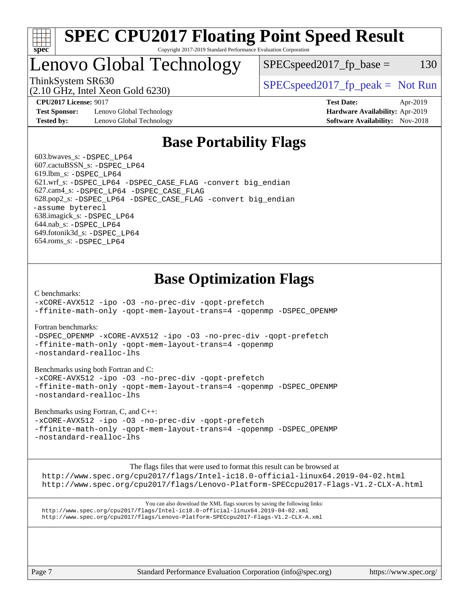

#### **[SPEC CPU2017 Floating Point Speed Result](http://www.spec.org/auto/cpu2017/Docs/result-fields.html#SPECCPU2017FloatingPointSpeedResult)** Copyright 2017-2019 Standard Performance Evaluation Corporation

## Lenovo Global Technology

ThinkSystem SR630  $SPEC speed2017$  [p\_peak = Not Run  $SPEC speed2017_fp\_base = 130$ 

(2.10 GHz, Intel Xeon Gold 6230)

**[Test Sponsor:](http://www.spec.org/auto/cpu2017/Docs/result-fields.html#TestSponsor)** Lenovo Global Technology **[Hardware Availability:](http://www.spec.org/auto/cpu2017/Docs/result-fields.html#HardwareAvailability)** Apr-2019 **[Tested by:](http://www.spec.org/auto/cpu2017/Docs/result-fields.html#Testedby)** Lenovo Global Technology **[Software Availability:](http://www.spec.org/auto/cpu2017/Docs/result-fields.html#SoftwareAvailability)** Nov-2018

**[CPU2017 License:](http://www.spec.org/auto/cpu2017/Docs/result-fields.html#CPU2017License)** 9017 **[Test Date:](http://www.spec.org/auto/cpu2017/Docs/result-fields.html#TestDate)** Apr-2019

## **[Base Portability Flags](http://www.spec.org/auto/cpu2017/Docs/result-fields.html#BasePortabilityFlags)**

 603.bwaves\_s: [-DSPEC\\_LP64](http://www.spec.org/cpu2017/results/res2019q2/cpu2017-20190429-12942.flags.html#suite_basePORTABILITY603_bwaves_s_DSPEC_LP64) 607.cactuBSSN\_s: [-DSPEC\\_LP64](http://www.spec.org/cpu2017/results/res2019q2/cpu2017-20190429-12942.flags.html#suite_basePORTABILITY607_cactuBSSN_s_DSPEC_LP64) 619.lbm\_s: [-DSPEC\\_LP64](http://www.spec.org/cpu2017/results/res2019q2/cpu2017-20190429-12942.flags.html#suite_basePORTABILITY619_lbm_s_DSPEC_LP64) 621.wrf\_s: [-DSPEC\\_LP64](http://www.spec.org/cpu2017/results/res2019q2/cpu2017-20190429-12942.flags.html#suite_basePORTABILITY621_wrf_s_DSPEC_LP64) [-DSPEC\\_CASE\\_FLAG](http://www.spec.org/cpu2017/results/res2019q2/cpu2017-20190429-12942.flags.html#b621.wrf_s_baseCPORTABILITY_DSPEC_CASE_FLAG) [-convert big\\_endian](http://www.spec.org/cpu2017/results/res2019q2/cpu2017-20190429-12942.flags.html#user_baseFPORTABILITY621_wrf_s_convert_big_endian_c3194028bc08c63ac5d04de18c48ce6d347e4e562e8892b8bdbdc0214820426deb8554edfa529a3fb25a586e65a3d812c835984020483e7e73212c4d31a38223) 627.cam4\_s: [-DSPEC\\_LP64](http://www.spec.org/cpu2017/results/res2019q2/cpu2017-20190429-12942.flags.html#suite_basePORTABILITY627_cam4_s_DSPEC_LP64) [-DSPEC\\_CASE\\_FLAG](http://www.spec.org/cpu2017/results/res2019q2/cpu2017-20190429-12942.flags.html#b627.cam4_s_baseCPORTABILITY_DSPEC_CASE_FLAG) 628.pop2\_s: [-DSPEC\\_LP64](http://www.spec.org/cpu2017/results/res2019q2/cpu2017-20190429-12942.flags.html#suite_basePORTABILITY628_pop2_s_DSPEC_LP64) [-DSPEC\\_CASE\\_FLAG](http://www.spec.org/cpu2017/results/res2019q2/cpu2017-20190429-12942.flags.html#b628.pop2_s_baseCPORTABILITY_DSPEC_CASE_FLAG) [-convert big\\_endian](http://www.spec.org/cpu2017/results/res2019q2/cpu2017-20190429-12942.flags.html#user_baseFPORTABILITY628_pop2_s_convert_big_endian_c3194028bc08c63ac5d04de18c48ce6d347e4e562e8892b8bdbdc0214820426deb8554edfa529a3fb25a586e65a3d812c835984020483e7e73212c4d31a38223) [-assume byterecl](http://www.spec.org/cpu2017/results/res2019q2/cpu2017-20190429-12942.flags.html#user_baseFPORTABILITY628_pop2_s_assume_byterecl_7e47d18b9513cf18525430bbf0f2177aa9bf368bc7a059c09b2c06a34b53bd3447c950d3f8d6c70e3faf3a05c8557d66a5798b567902e8849adc142926523472) 638.imagick\_s: [-DSPEC\\_LP64](http://www.spec.org/cpu2017/results/res2019q2/cpu2017-20190429-12942.flags.html#suite_basePORTABILITY638_imagick_s_DSPEC_LP64) 644.nab\_s: [-DSPEC\\_LP64](http://www.spec.org/cpu2017/results/res2019q2/cpu2017-20190429-12942.flags.html#suite_basePORTABILITY644_nab_s_DSPEC_LP64) 649.fotonik3d\_s: [-DSPEC\\_LP64](http://www.spec.org/cpu2017/results/res2019q2/cpu2017-20190429-12942.flags.html#suite_basePORTABILITY649_fotonik3d_s_DSPEC_LP64) 654.roms\_s: [-DSPEC\\_LP64](http://www.spec.org/cpu2017/results/res2019q2/cpu2017-20190429-12942.flags.html#suite_basePORTABILITY654_roms_s_DSPEC_LP64)

## **[Base Optimization Flags](http://www.spec.org/auto/cpu2017/Docs/result-fields.html#BaseOptimizationFlags)**

[C benchmarks](http://www.spec.org/auto/cpu2017/Docs/result-fields.html#Cbenchmarks):

[-xCORE-AVX512](http://www.spec.org/cpu2017/results/res2019q2/cpu2017-20190429-12942.flags.html#user_CCbase_f-xCORE-AVX512) [-ipo](http://www.spec.org/cpu2017/results/res2019q2/cpu2017-20190429-12942.flags.html#user_CCbase_f-ipo) [-O3](http://www.spec.org/cpu2017/results/res2019q2/cpu2017-20190429-12942.flags.html#user_CCbase_f-O3) [-no-prec-div](http://www.spec.org/cpu2017/results/res2019q2/cpu2017-20190429-12942.flags.html#user_CCbase_f-no-prec-div) [-qopt-prefetch](http://www.spec.org/cpu2017/results/res2019q2/cpu2017-20190429-12942.flags.html#user_CCbase_f-qopt-prefetch) [-ffinite-math-only](http://www.spec.org/cpu2017/results/res2019q2/cpu2017-20190429-12942.flags.html#user_CCbase_f_finite_math_only_cb91587bd2077682c4b38af759c288ed7c732db004271a9512da14a4f8007909a5f1427ecbf1a0fb78ff2a814402c6114ac565ca162485bbcae155b5e4258871) [-qopt-mem-layout-trans=4](http://www.spec.org/cpu2017/results/res2019q2/cpu2017-20190429-12942.flags.html#user_CCbase_f-qopt-mem-layout-trans_fa39e755916c150a61361b7846f310bcdf6f04e385ef281cadf3647acec3f0ae266d1a1d22d972a7087a248fd4e6ca390a3634700869573d231a252c784941a8) [-qopenmp](http://www.spec.org/cpu2017/results/res2019q2/cpu2017-20190429-12942.flags.html#user_CCbase_qopenmp_16be0c44f24f464004c6784a7acb94aca937f053568ce72f94b139a11c7c168634a55f6653758ddd83bcf7b8463e8028bb0b48b77bcddc6b78d5d95bb1df2967) [-DSPEC\\_OPENMP](http://www.spec.org/cpu2017/results/res2019q2/cpu2017-20190429-12942.flags.html#suite_CCbase_DSPEC_OPENMP)

[Fortran benchmarks](http://www.spec.org/auto/cpu2017/Docs/result-fields.html#Fortranbenchmarks):

[-DSPEC\\_OPENMP](http://www.spec.org/cpu2017/results/res2019q2/cpu2017-20190429-12942.flags.html#suite_FCbase_DSPEC_OPENMP) [-xCORE-AVX512](http://www.spec.org/cpu2017/results/res2019q2/cpu2017-20190429-12942.flags.html#user_FCbase_f-xCORE-AVX512) [-ipo](http://www.spec.org/cpu2017/results/res2019q2/cpu2017-20190429-12942.flags.html#user_FCbase_f-ipo) [-O3](http://www.spec.org/cpu2017/results/res2019q2/cpu2017-20190429-12942.flags.html#user_FCbase_f-O3) [-no-prec-div](http://www.spec.org/cpu2017/results/res2019q2/cpu2017-20190429-12942.flags.html#user_FCbase_f-no-prec-div) [-qopt-prefetch](http://www.spec.org/cpu2017/results/res2019q2/cpu2017-20190429-12942.flags.html#user_FCbase_f-qopt-prefetch) [-ffinite-math-only](http://www.spec.org/cpu2017/results/res2019q2/cpu2017-20190429-12942.flags.html#user_FCbase_f_finite_math_only_cb91587bd2077682c4b38af759c288ed7c732db004271a9512da14a4f8007909a5f1427ecbf1a0fb78ff2a814402c6114ac565ca162485bbcae155b5e4258871) [-qopt-mem-layout-trans=4](http://www.spec.org/cpu2017/results/res2019q2/cpu2017-20190429-12942.flags.html#user_FCbase_f-qopt-mem-layout-trans_fa39e755916c150a61361b7846f310bcdf6f04e385ef281cadf3647acec3f0ae266d1a1d22d972a7087a248fd4e6ca390a3634700869573d231a252c784941a8) [-qopenmp](http://www.spec.org/cpu2017/results/res2019q2/cpu2017-20190429-12942.flags.html#user_FCbase_qopenmp_16be0c44f24f464004c6784a7acb94aca937f053568ce72f94b139a11c7c168634a55f6653758ddd83bcf7b8463e8028bb0b48b77bcddc6b78d5d95bb1df2967) [-nostandard-realloc-lhs](http://www.spec.org/cpu2017/results/res2019q2/cpu2017-20190429-12942.flags.html#user_FCbase_f_2003_std_realloc_82b4557e90729c0f113870c07e44d33d6f5a304b4f63d4c15d2d0f1fab99f5daaed73bdb9275d9ae411527f28b936061aa8b9c8f2d63842963b95c9dd6426b8a)

[Benchmarks using both Fortran and C](http://www.spec.org/auto/cpu2017/Docs/result-fields.html#BenchmarksusingbothFortranandC):

[-xCORE-AVX512](http://www.spec.org/cpu2017/results/res2019q2/cpu2017-20190429-12942.flags.html#user_CC_FCbase_f-xCORE-AVX512) [-ipo](http://www.spec.org/cpu2017/results/res2019q2/cpu2017-20190429-12942.flags.html#user_CC_FCbase_f-ipo) [-O3](http://www.spec.org/cpu2017/results/res2019q2/cpu2017-20190429-12942.flags.html#user_CC_FCbase_f-O3) [-no-prec-div](http://www.spec.org/cpu2017/results/res2019q2/cpu2017-20190429-12942.flags.html#user_CC_FCbase_f-no-prec-div) [-qopt-prefetch](http://www.spec.org/cpu2017/results/res2019q2/cpu2017-20190429-12942.flags.html#user_CC_FCbase_f-qopt-prefetch) [-ffinite-math-only](http://www.spec.org/cpu2017/results/res2019q2/cpu2017-20190429-12942.flags.html#user_CC_FCbase_f_finite_math_only_cb91587bd2077682c4b38af759c288ed7c732db004271a9512da14a4f8007909a5f1427ecbf1a0fb78ff2a814402c6114ac565ca162485bbcae155b5e4258871) [-qopt-mem-layout-trans=4](http://www.spec.org/cpu2017/results/res2019q2/cpu2017-20190429-12942.flags.html#user_CC_FCbase_f-qopt-mem-layout-trans_fa39e755916c150a61361b7846f310bcdf6f04e385ef281cadf3647acec3f0ae266d1a1d22d972a7087a248fd4e6ca390a3634700869573d231a252c784941a8) [-qopenmp](http://www.spec.org/cpu2017/results/res2019q2/cpu2017-20190429-12942.flags.html#user_CC_FCbase_qopenmp_16be0c44f24f464004c6784a7acb94aca937f053568ce72f94b139a11c7c168634a55f6653758ddd83bcf7b8463e8028bb0b48b77bcddc6b78d5d95bb1df2967) [-DSPEC\\_OPENMP](http://www.spec.org/cpu2017/results/res2019q2/cpu2017-20190429-12942.flags.html#suite_CC_FCbase_DSPEC_OPENMP) [-nostandard-realloc-lhs](http://www.spec.org/cpu2017/results/res2019q2/cpu2017-20190429-12942.flags.html#user_CC_FCbase_f_2003_std_realloc_82b4557e90729c0f113870c07e44d33d6f5a304b4f63d4c15d2d0f1fab99f5daaed73bdb9275d9ae411527f28b936061aa8b9c8f2d63842963b95c9dd6426b8a)

[Benchmarks using Fortran, C, and C++:](http://www.spec.org/auto/cpu2017/Docs/result-fields.html#BenchmarksusingFortranCandCXX)

[-xCORE-AVX512](http://www.spec.org/cpu2017/results/res2019q2/cpu2017-20190429-12942.flags.html#user_CC_CXX_FCbase_f-xCORE-AVX512) [-ipo](http://www.spec.org/cpu2017/results/res2019q2/cpu2017-20190429-12942.flags.html#user_CC_CXX_FCbase_f-ipo) [-O3](http://www.spec.org/cpu2017/results/res2019q2/cpu2017-20190429-12942.flags.html#user_CC_CXX_FCbase_f-O3) [-no-prec-div](http://www.spec.org/cpu2017/results/res2019q2/cpu2017-20190429-12942.flags.html#user_CC_CXX_FCbase_f-no-prec-div) [-qopt-prefetch](http://www.spec.org/cpu2017/results/res2019q2/cpu2017-20190429-12942.flags.html#user_CC_CXX_FCbase_f-qopt-prefetch) [-ffinite-math-only](http://www.spec.org/cpu2017/results/res2019q2/cpu2017-20190429-12942.flags.html#user_CC_CXX_FCbase_f_finite_math_only_cb91587bd2077682c4b38af759c288ed7c732db004271a9512da14a4f8007909a5f1427ecbf1a0fb78ff2a814402c6114ac565ca162485bbcae155b5e4258871) [-qopt-mem-layout-trans=4](http://www.spec.org/cpu2017/results/res2019q2/cpu2017-20190429-12942.flags.html#user_CC_CXX_FCbase_f-qopt-mem-layout-trans_fa39e755916c150a61361b7846f310bcdf6f04e385ef281cadf3647acec3f0ae266d1a1d22d972a7087a248fd4e6ca390a3634700869573d231a252c784941a8) [-qopenmp](http://www.spec.org/cpu2017/results/res2019q2/cpu2017-20190429-12942.flags.html#user_CC_CXX_FCbase_qopenmp_16be0c44f24f464004c6784a7acb94aca937f053568ce72f94b139a11c7c168634a55f6653758ddd83bcf7b8463e8028bb0b48b77bcddc6b78d5d95bb1df2967) [-DSPEC\\_OPENMP](http://www.spec.org/cpu2017/results/res2019q2/cpu2017-20190429-12942.flags.html#suite_CC_CXX_FCbase_DSPEC_OPENMP) [-nostandard-realloc-lhs](http://www.spec.org/cpu2017/results/res2019q2/cpu2017-20190429-12942.flags.html#user_CC_CXX_FCbase_f_2003_std_realloc_82b4557e90729c0f113870c07e44d33d6f5a304b4f63d4c15d2d0f1fab99f5daaed73bdb9275d9ae411527f28b936061aa8b9c8f2d63842963b95c9dd6426b8a)

The flags files that were used to format this result can be browsed at

<http://www.spec.org/cpu2017/flags/Intel-ic18.0-official-linux64.2019-04-02.html> <http://www.spec.org/cpu2017/flags/Lenovo-Platform-SPECcpu2017-Flags-V1.2-CLX-A.html>

You can also download the XML flags sources by saving the following links: <http://www.spec.org/cpu2017/flags/Intel-ic18.0-official-linux64.2019-04-02.xml> <http://www.spec.org/cpu2017/flags/Lenovo-Platform-SPECcpu2017-Flags-V1.2-CLX-A.xml>